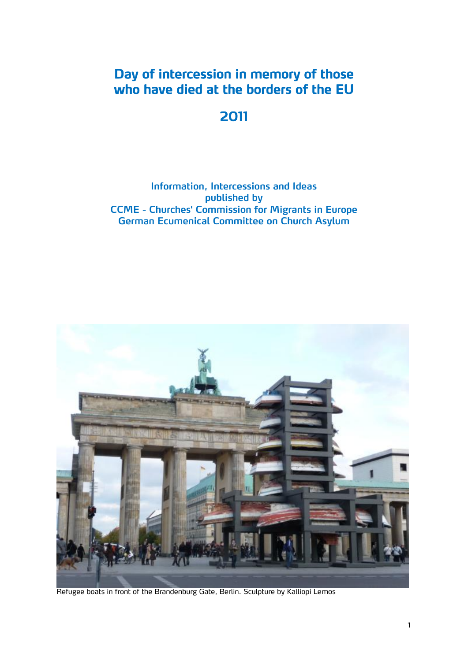### **Day of intercession in memory of those who have died at the borders of the EU**

### **2011**

#### **Information, Intercessions and Ideas published by CCME - Churches' Commission for Migrants in Europe German Ecumenical Committee on Church Asylum**



Refugee boats in front of the Brandenburg Gate, Berlin. Sculpture by Kalliopi Lemos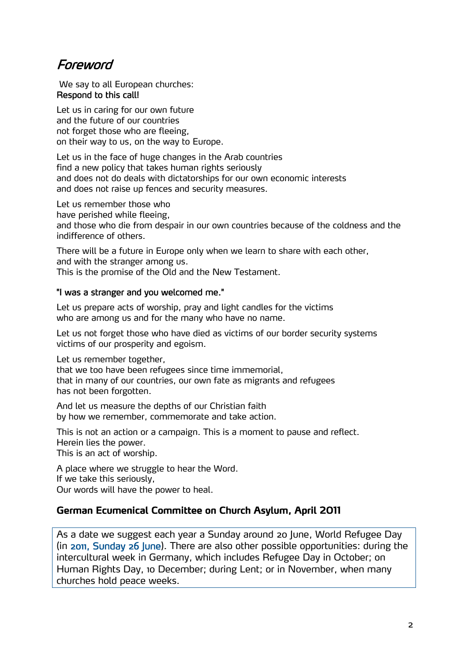### Foreword

We say to all European churches: Respond to this call!

Let us in caring for our own future and the future of our countries not forget those who are fleeing, on their way to us, on the way to Europe.

Let us in the face of huge changes in the Arab countries find a new policy that takes human rights seriously and does not do deals with dictatorships for our own economic interests and does not raise up fences and security measures.

Let us remember those who

have perished while fleeing,

and those who die from despair in our own countries because of the coldness and the indifference of others.

There will be a future in Europe only when we learn to share with each other, and with the stranger among us.

This is the promise of the Old and the New Testament.

#### "I was a stranger and you welcomed me."

Let us prepare acts of worship, pray and light candles for the victims who are among us and for the many who have no name.

Let us not forget those who have died as victims of our border security systems victims of our prosperity and egoism.

Let us remember together,

that we too have been refugees since time immemorial, that in many of our countries, our own fate as migrants and refugees has not been forgotten.

And let us measure the depths of our Christian faith by how we remember, commemorate and take action.

This is not an action or a campaign. This is a moment to pause and reflect. Herein lies the power. This is an act of worship.

A place where we struggle to hear the Word. If we take this seriously, Our words will have the power to heal.

#### **German Ecumenical Committee on Church Asylum, April 2011**

As a date we suggest each year a Sunday around 20 June, World Refugee Day (in 2011, Sunday 26 June). There are also other possible opportunities: during the intercultural week in Germany, which includes Refugee Day in October; on Human Rights Day, 10 December; during Lent; or in November, when many churches hold peace weeks.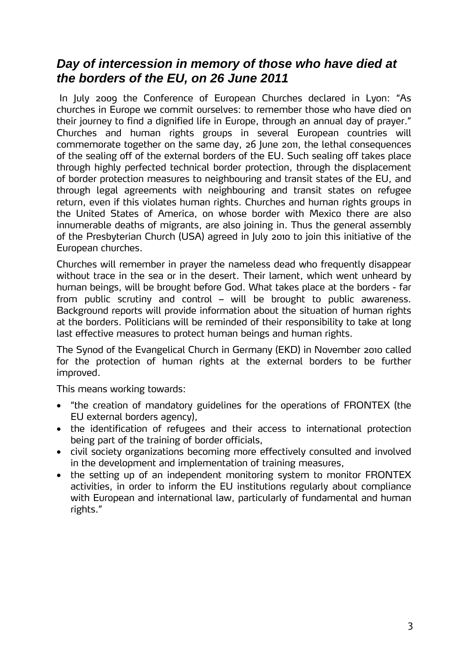### *Day of intercession in memory of those who have died at the borders of the EU, on 26 June 2011*

 In July 2009 the Conference of European Churches declared in Lyon: "As churches in Europe we commit ourselves: to remember those who have died on their journey to find a dignified life in Europe, through an annual day of prayer." Churches and human rights groups in several European countries will commemorate together on the same day, 26 June 2011, the lethal consequences of the sealing off of the external borders of the EU. Such sealing off takes place through highly perfected technical border protection, through the displacement of border protection measures to neighbouring and transit states of the EU, and through legal agreements with neighbouring and transit states on refugee return, even if this violates human rights. Churches and human rights groups in the United States of America, on whose border with Mexico there are also innumerable deaths of migrants, are also joining in. Thus the general assembly of the Presbyterian Church (USA) agreed in July 2010 to join this initiative of the European churches.

Churches will remember in prayer the nameless dead who frequently disappear without trace in the sea or in the desert. Their lament, which went unheard by human beings, will be brought before God. What takes place at the borders - far from public scrutiny and control – will be brought to public awareness. Background reports will provide information about the situation of human rights at the borders. Politicians will be reminded of their responsibility to take at long last effective measures to protect human beings and human rights.

The Synod of the Evangelical Church in Germany (EKD) in November 2010 called for the protection of human rights at the external borders to be further improved.

This means working towards:

- "the creation of mandatory guidelines for the operations of FRONTEX (the EU external borders agency),
- the identification of refugees and their access to international protection being part of the training of border officials,
- civil society organizations becoming more effectively consulted and involved in the development and implementation of training measures,
- the setting up of an independent monitoring system to monitor FRONTEX activities, in order to inform the EU institutions regularly about compliance with European and international law, particularly of fundamental and human rights."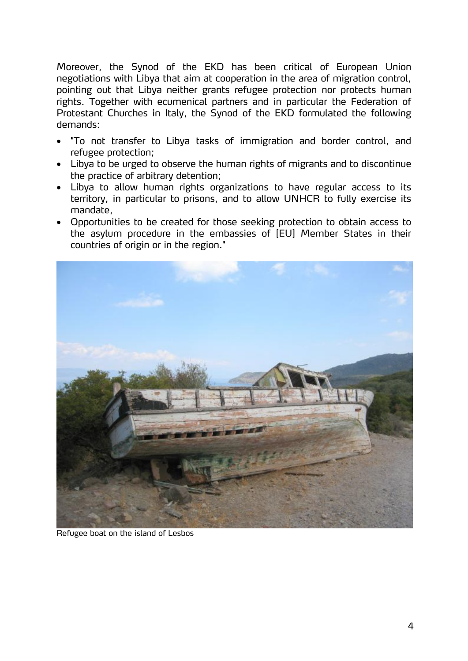Moreover, the Synod of the EKD has been critical of European Union negotiations with Libya that aim at cooperation in the area of migration control, pointing out that Libya neither grants refugee protection nor protects human rights. Together with ecumenical partners and in particular the Federation of Protestant Churches in Italy, the Synod of the EKD formulated the following demands:

- "To not transfer to Libya tasks of immigration and border control, and refugee protection;
- Libya to be urged to observe the human rights of migrants and to discontinue the practice of arbitrary detention;
- Libya to allow human rights organizations to have regular access to its territory, in particular to prisons, and to allow UNHCR to fully exercise its mandate,
- Opportunities to be created for those seeking protection to obtain access to the asylum procedure in the embassies of [EU] Member States in their countries of origin or in the region."



Refugee boat on the island of Lesbos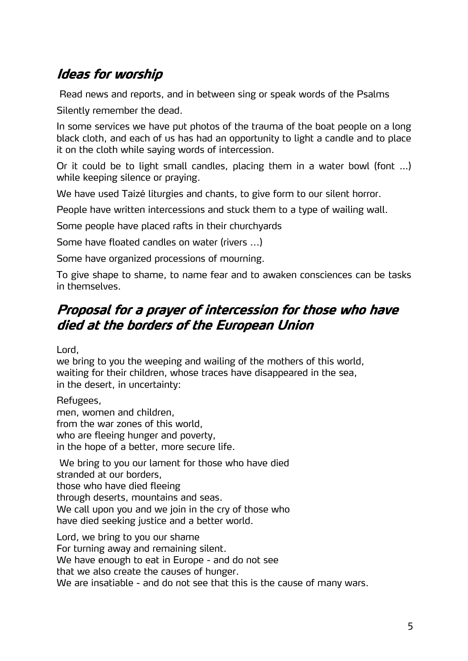## **Ideas for worship**

Read news and reports, and in between sing or speak words of the Psalms

Silently remember the dead.

In some services we have put photos of the trauma of the boat people on a long black cloth, and each of us has had an opportunity to light a candle and to place it on the cloth while saying words of intercession.

Or it could be to light small candles, placing them in a water bowl (font …) while keeping silence or praying.

We have used Taizé liturgies and chants, to give form to our silent horror.

People have written intercessions and stuck them to a type of wailing wall.

Some people have placed rafts in their churchyards

Some have floated candles on water (rivers ...)

Some have organized processions of mourning.

To give shape to shame, to name fear and to awaken consciences can be tasks in themselves.

## **Proposal for a prayer of intercession for those who have died at the borders of the European Union**

Lord,

we bring to you the weeping and wailing of the mothers of this world, waiting for their children, whose traces have disappeared in the sea, in the desert, in uncertainty:

Refugees,

men, women and children, from the war zones of this world, who are fleeing hunger and poverty, in the hope of a better, more secure life.

 We bring to you our lament for those who have died stranded at our borders, those who have died fleeing through deserts, mountains and seas. We call upon you and we join in the cry of those who have died seeking justice and a better world.

Lord, we bring to you our shame For turning away and remaining silent. We have enough to eat in Europe - and do not see that we also create the causes of hunger. We are insatiable - and do not see that this is the cause of many wars.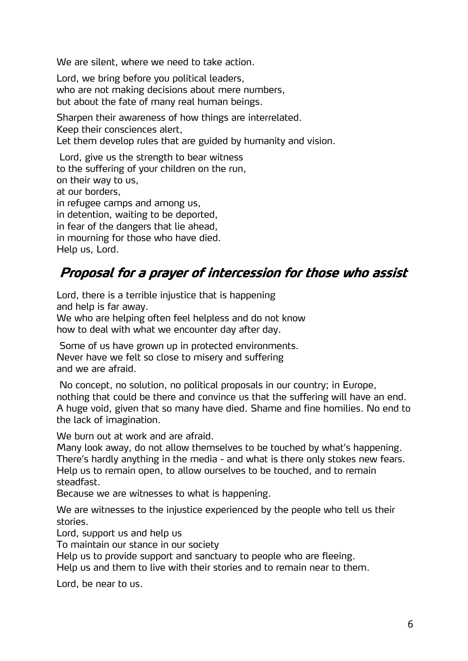We are silent, where we need to take action.

Lord, we bring before you political leaders, who are not making decisions about mere numbers, but about the fate of many real human beings.

Sharpen their awareness of how things are interrelated. Keep their consciences alert, Let them develop rules that are guided by humanity and vision.

 Lord, give us the strength to bear witness to the suffering of your children on the run, on their way to us, at our borders, in refugee camps and among us, in detention, waiting to be deported, in fear of the dangers that lie ahead, in mourning for those who have died. Help us, Lord.

## **Proposal for a prayer of intercession for those who assist**

Lord, there is a terrible injustice that is happening and help is far away. We who are helping often feel helpless and do not know how to deal with what we encounter day after day.

 Some of us have grown up in protected environments. Never have we felt so close to misery and suffering and we are afraid.

 No concept, no solution, no political proposals in our country; in Europe, nothing that could be there and convince us that the suffering will have an end. A huge void, given that so many have died. Shame and fine homilies. No end to the lack of imagination.

We burn out at work and are afraid.

Many look away, do not allow themselves to be touched by what's happening. There's hardly anything in the media - and what is there only stokes new fears. Help us to remain open, to allow ourselves to be touched, and to remain steadfast.

Because we are witnesses to what is happening.

We are witnesses to the injustice experienced by the people who tell us their stories.

Lord, support us and help us

To maintain our stance in our society

Help us to provide support and sanctuary to people who are fleeing.

Help us and them to live with their stories and to remain near to them.

Lord, be near to us.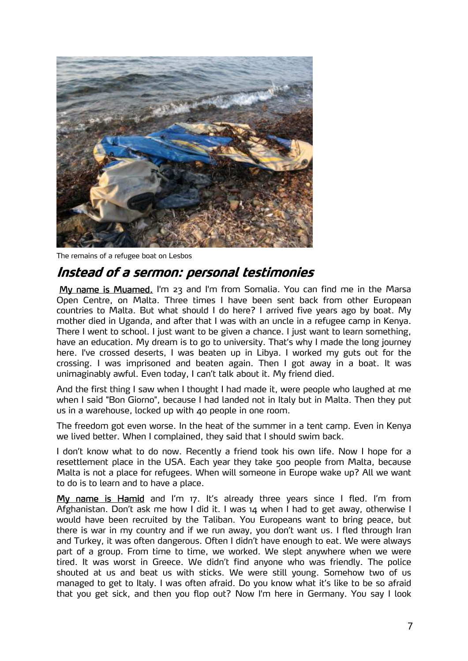

The remains of a refugee boat on Lesbos

## **Instead of a sermon: personal testimonies**

 My name is Muamed. I'm 23 and I'm from Somalia. You can find me in the Marsa Open Centre, on Malta. Three times I have been sent back from other European countries to Malta. But what should I do here? I arrived five years ago by boat. My mother died in Uganda, and after that I was with an uncle in a refugee camp in Kenya. There I went to school. I just want to be given a chance. I just want to learn something, have an education. My dream is to go to university. That's why I made the long journey here. I've crossed deserts, I was beaten up in Libya. I worked my guts out for the crossing. I was imprisoned and beaten again. Then I got away in a boat. It was unimaginably awful. Even today, I can't talk about it. My friend died.

And the first thing I saw when I thought I had made it, were people who laughed at me when I said "Bon Giorno", because I had landed not in Italy but in Malta. Then they put us in a warehouse, locked up with 40 people in one room.

The freedom got even worse. In the heat of the summer in a tent camp. Even in Kenya we lived better. When I complained, they said that I should swim back.

I don't know what to do now. Recently a friend took his own life. Now I hope for a resettlement place in the USA. Each year they take 500 people from Malta, because Malta is not a place for refugees. When will someone in Europe wake up? All we want to do is to learn and to have a place.

My name is Hamid and I'm 17. It's already three years since I fled. I'm from Afghanistan. Don't ask me how I did it. I was 14 when I had to get away, otherwise I would have been recruited by the Taliban. You Europeans want to bring peace, but there is war in my country and if we run away, you don't want us. I fled through Iran and Turkey, it was often dangerous. Often I didn't have enough to eat. We were always part of a group. From time to time, we worked. We slept anywhere when we were tired. It was worst in Greece. We didn't find anyone who was friendly. The police shouted at us and beat us with sticks. We were still young. Somehow two of us managed to get to Italy. I was often afraid. Do you know what it's like to be so afraid that you get sick, and then you flop out? Now I'm here in Germany. You say I look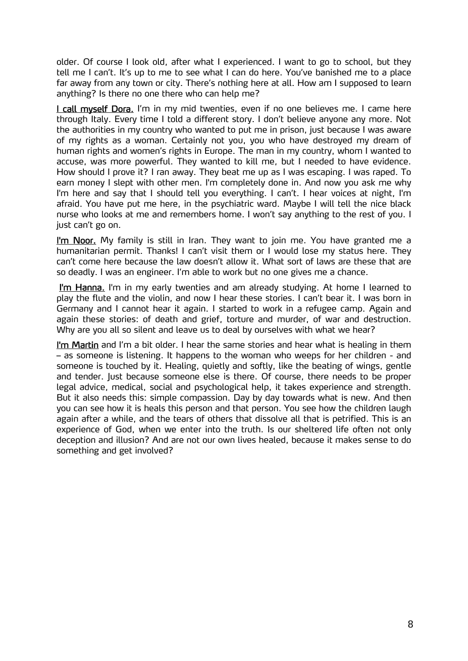older. Of course I look old, after what I experienced. I want to go to school, but they tell me I can't. It's up to me to see what I can do here. You've banished me to a place far away from any town or city. There's nothing here at all. How am I supposed to learn anything? Is there no one there who can help me?

I call myself Dora. I'm in my mid twenties, even if no one believes me. I came here through Italy. Every time I told a different story. I don't believe anyone any more. Not the authorities in my country who wanted to put me in prison, just because I was aware of my rights as a woman. Certainly not you, you who have destroyed my dream of human rights and women's rights in Europe. The man in my country, whom I wanted to accuse, was more powerful. They wanted to kill me, but I needed to have evidence. How should I prove it? I ran away. They beat me up as I was escaping. I was raped. To earn money I slept with other men. I'm completely done in. And now you ask me why I'm here and say that I should tell you everything. I can't. I hear voices at night, I'm afraid. You have put me here, in the psychiatric ward. Maybe I will tell the nice black nurse who looks at me and remembers home. I won't say anything to the rest of you. I just can't go on.

I'm Noor. My family is still in Iran. They want to join me. You have granted me a humanitarian permit. Thanks! I can't visit them or I would lose my status here. They can't come here because the law doesn't allow it. What sort of laws are these that are so deadly. I was an engineer. I'm able to work but no one gives me a chance.

I'm Hanna. I'm in my early twenties and am already studying. At home I learned to play the flute and the violin, and now I hear these stories. I can't bear it. I was born in Germany and I cannot hear it again. I started to work in a refugee camp. Again and again these stories: of death and grief, torture and murder, of war and destruction. Why are you all so silent and leave us to deal by ourselves with what we hear?

I'm Martin and I'm a bit older. I hear the same stories and hear what is healing in them – as someone is listening. It happens to the woman who weeps for her children - and someone is touched by it. Healing, quietly and softly, like the beating of wings, gentle and tender. Just because someone else is there. Of course, there needs to be proper legal advice, medical, social and psychological help, it takes experience and strength. But it also needs this: simple compassion. Day by day towards what is new. And then you can see how it is heals this person and that person. You see how the children laugh again after a while, and the tears of others that dissolve all that is petrified. This is an experience of God, when we enter into the truth. Is our sheltered life often not only deception and illusion? And are not our own lives healed, because it makes sense to do something and get involved?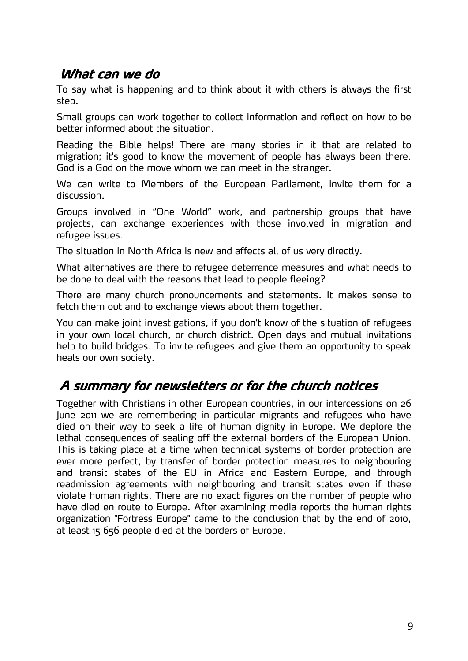### **What can we do**

To say what is happening and to think about it with others is always the first step.

Small groups can work together to collect information and reflect on how to be better informed about the situation.

Reading the Bible helps! There are many stories in it that are related to migration; it's good to know the movement of people has always been there. God is a God on the move whom we can meet in the stranger.

We can write to Members of the European Parliament, invite them for a discussion.

Groups involved in "One World" work, and partnership groups that have projects, can exchange experiences with those involved in migration and refugee issues.

The situation in North Africa is new and affects all of us very directly.

What alternatives are there to refugee deterrence measures and what needs to be done to deal with the reasons that lead to people fleeing?

There are many church pronouncements and statements. It makes sense to fetch them out and to exchange views about them together.

You can make joint investigations, if you don't know of the situation of refugees in your own local church, or church district. Open days and mutual invitations help to build bridges. To invite refugees and give them an opportunity to speak heals our own society.

## **A summary for newsletters or for the church notices**

Together with Christians in other European countries, in our intercessions on 26 June 2011 we are remembering in particular migrants and refugees who have died on their way to seek a life of human dignity in Europe. We deplore the lethal consequences of sealing off the external borders of the European Union. This is taking place at a time when technical systems of border protection are ever more perfect, by transfer of border protection measures to neighbouring and transit states of the EU in Africa and Eastern Europe, and through readmission agreements with neighbouring and transit states even if these violate human rights. There are no exact figures on the number of people who have died en route to Europe. After examining media reports the human rights organization "Fortress Europe" came to the conclusion that by the end of 2010, at least 15 656 people died at the borders of Europe.